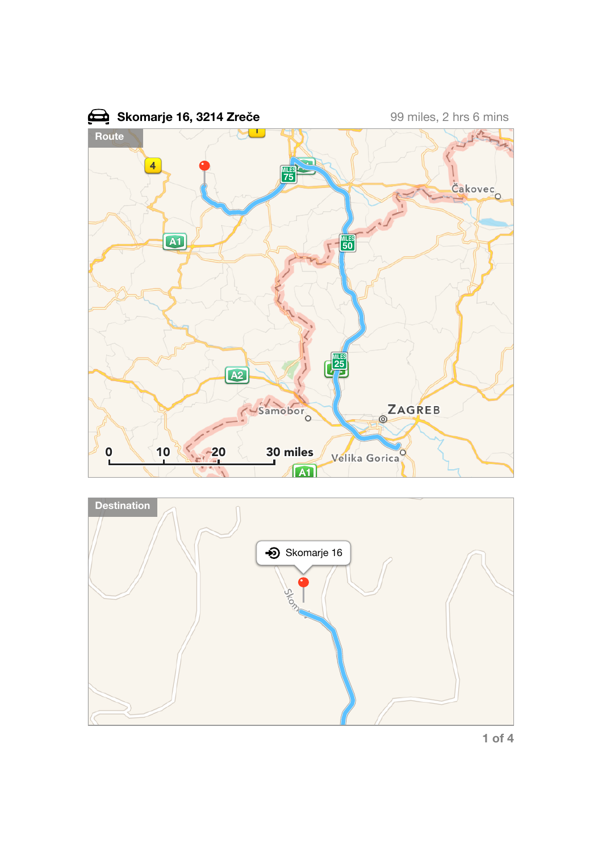



**1 of 4**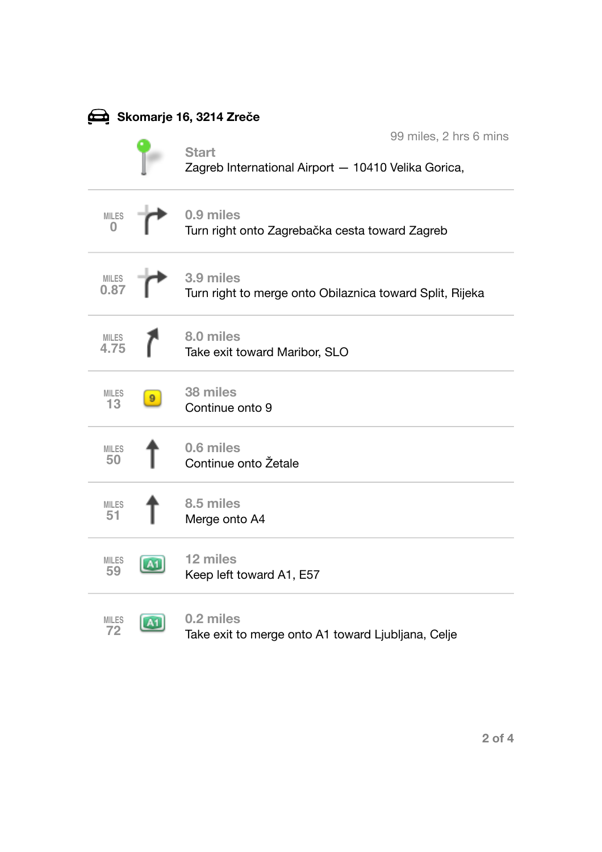| <b>⊉ Skomarje 16, 3214 Zreče</b> |                |                                                                                               |  |
|----------------------------------|----------------|-----------------------------------------------------------------------------------------------|--|
|                                  |                | 99 miles, 2 hrs 6 mins<br><b>Start</b><br>Zagreb International Airport - 10410 Velika Gorica, |  |
| <b>MILES</b><br>0                |                | 0.9 miles<br>Turn right onto Zagrebačka cesta toward Zagreb                                   |  |
| <b>MILES</b><br>0.87             |                | 3.9 miles<br>Turn right to merge onto Obilaznica toward Split, Rijeka                         |  |
| <b>MILES</b><br>4.75             |                | 8.0 miles<br>Take exit toward Maribor, SLO                                                    |  |
| <b>MILES</b><br>13               |                | 38 miles<br>Continue onto 9                                                                   |  |
| <b>MILES</b><br>50               |                | 0.6 miles<br>Continue onto Žetale                                                             |  |
| <b>MILES</b><br>51               |                | 8.5 miles<br>Merge onto A4                                                                    |  |
| <b>MILES</b><br>59               | <b>Council</b> | 12 miles<br>Keep left toward A1, E57                                                          |  |
| <b>MILES</b><br>72               | A <sub>1</sub> | 0.2 miles<br>Take exit to merge onto A1 toward Ljubljana, Celje                               |  |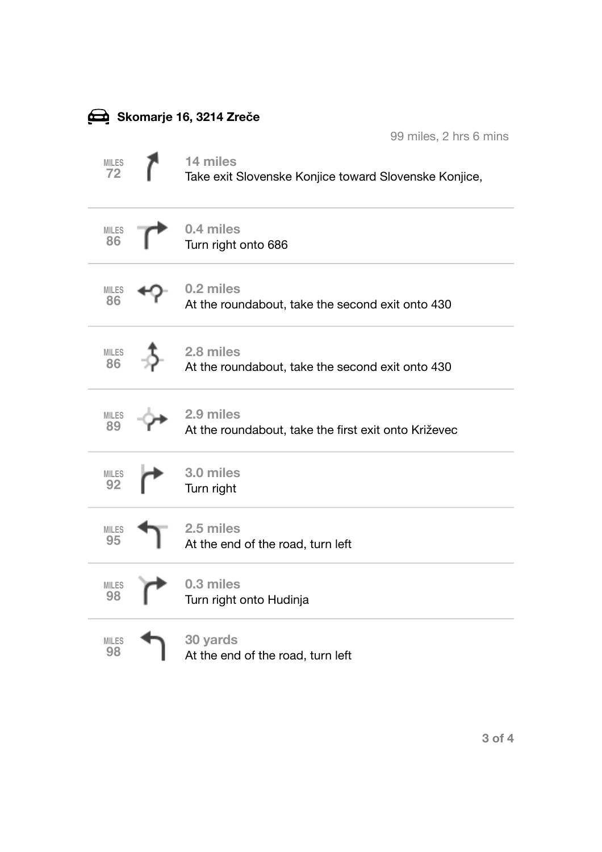| Skomarje 16, 3214 Zreče |  |                                                                   |  |
|-------------------------|--|-------------------------------------------------------------------|--|
|                         |  | 99 miles, 2 hrs 6 mins                                            |  |
| <b>MILES</b><br>72      |  | 14 miles<br>Take exit Slovenske Konjice toward Slovenske Konjice, |  |
| <b>MILES</b><br>86      |  | 0.4 miles<br>Turn right onto 686                                  |  |
| <b>MILES</b><br>86      |  | 0.2 miles<br>At the roundabout, take the second exit onto 430     |  |
| <b>MILES</b><br>86      |  | 2.8 miles<br>At the roundabout, take the second exit onto 430     |  |
| <b>MILES</b><br>89      |  | 2.9 miles<br>At the roundabout, take the first exit onto Križevec |  |
| <b>MILES</b><br>92      |  | 3.0 miles<br>Turn right                                           |  |
| MILES<br>95             |  | 2.5 miles<br>At the end of the road, turn left                    |  |
| <b>MILES</b><br>98      |  | 0.3 miles<br>Turn right onto Hudinja                              |  |
| <b>MILES</b><br>98      |  | 30 yards<br>At the end of the road, turn left                     |  |